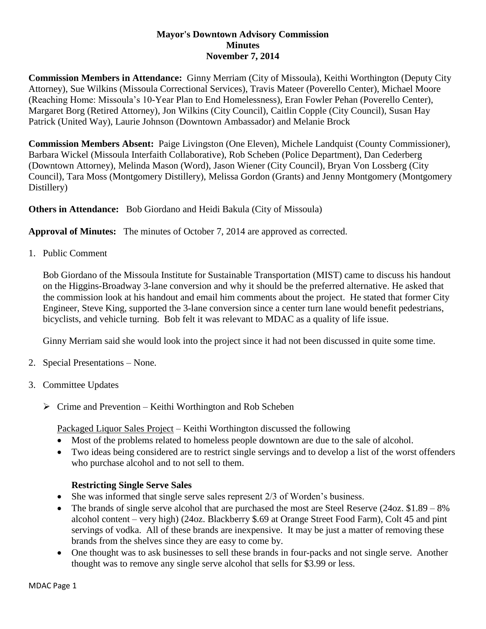### **Mayor's Downtown Advisory Commission Minutes November 7, 2014**

**Commission Members in Attendance:** Ginny Merriam (City of Missoula), Keithi Worthington (Deputy City Attorney), Sue Wilkins (Missoula Correctional Services), Travis Mateer (Poverello Center), Michael Moore (Reaching Home: Missoula's 10-Year Plan to End Homelessness), Eran Fowler Pehan (Poverello Center), Margaret Borg (Retired Attorney), Jon Wilkins (City Council), Caitlin Copple (City Council), Susan Hay Patrick (United Way), Laurie Johnson (Downtown Ambassador) and Melanie Brock

**Commission Members Absent:** Paige Livingston (One Eleven), Michele Landquist (County Commissioner), Barbara Wickel (Missoula Interfaith Collaborative), Rob Scheben (Police Department), Dan Cederberg (Downtown Attorney), Melinda Mason (Word), Jason Wiener (City Council), Bryan Von Lossberg (City Council), Tara Moss (Montgomery Distillery), Melissa Gordon (Grants) and Jenny Montgomery (Montgomery Distillery)

**Others in Attendance:** Bob Giordano and Heidi Bakula (City of Missoula)

**Approval of Minutes:** The minutes of October 7, 2014 are approved as corrected.

1. Public Comment

Bob Giordano of the Missoula Institute for Sustainable Transportation (MIST) came to discuss his handout on the Higgins-Broadway 3-lane conversion and why it should be the preferred alternative. He asked that the commission look at his handout and email him comments about the project. He stated that former City Engineer, Steve King, supported the 3-lane conversion since a center turn lane would benefit pedestrians, bicyclists, and vehicle turning. Bob felt it was relevant to MDAC as a quality of life issue.

Ginny Merriam said she would look into the project since it had not been discussed in quite some time.

- 2. Special Presentations None.
- 3. Committee Updates
	- $\triangleright$  Crime and Prevention Keithi Worthington and Rob Scheben

Packaged Liquor Sales Project – Keithi Worthington discussed the following

- Most of the problems related to homeless people downtown are due to the sale of alcohol.
- Two ideas being considered are to restrict single servings and to develop a list of the worst offenders who purchase alcohol and to not sell to them.

# **Restricting Single Serve Sales**

- She was informed that single serve sales represent 2/3 of Worden's business.
- The brands of single serve alcohol that are purchased the most are Steel Reserve (24oz.  $$1.89 8\%$ ) alcohol content – very high) (24oz. Blackberry \$.69 at Orange Street Food Farm), Colt 45 and pint servings of vodka. All of these brands are inexpensive. It may be just a matter of removing these brands from the shelves since they are easy to come by.
- One thought was to ask businesses to sell these brands in four-packs and not single serve. Another thought was to remove any single serve alcohol that sells for \$3.99 or less.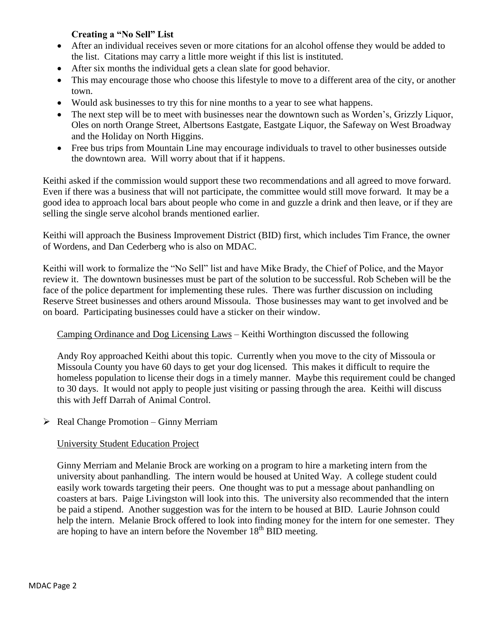# **Creating a "No Sell" List**

- After an individual receives seven or more citations for an alcohol offense they would be added to the list. Citations may carry a little more weight if this list is instituted.
- After six months the individual gets a clean slate for good behavior.
- This may encourage those who choose this lifestyle to move to a different area of the city, or another town.
- Would ask businesses to try this for nine months to a year to see what happens.
- The next step will be to meet with businesses near the downtown such as Worden's, Grizzly Liquor, Oles on north Orange Street, Albertsons Eastgate, Eastgate Liquor, the Safeway on West Broadway and the Holiday on North Higgins.
- Free bus trips from Mountain Line may encourage individuals to travel to other businesses outside the downtown area. Will worry about that if it happens.

Keithi asked if the commission would support these two recommendations and all agreed to move forward. Even if there was a business that will not participate, the committee would still move forward. It may be a good idea to approach local bars about people who come in and guzzle a drink and then leave, or if they are selling the single serve alcohol brands mentioned earlier.

Keithi will approach the Business Improvement District (BID) first, which includes Tim France, the owner of Wordens, and Dan Cederberg who is also on MDAC.

Keithi will work to formalize the "No Sell" list and have Mike Brady, the Chief of Police, and the Mayor review it. The downtown businesses must be part of the solution to be successful. Rob Scheben will be the face of the police department for implementing these rules. There was further discussion on including Reserve Street businesses and others around Missoula. Those businesses may want to get involved and be on board. Participating businesses could have a sticker on their window.

## Camping Ordinance and Dog Licensing Laws – Keithi Worthington discussed the following

Andy Roy approached Keithi about this topic. Currently when you move to the city of Missoula or Missoula County you have 60 days to get your dog licensed. This makes it difficult to require the homeless population to license their dogs in a timely manner. Maybe this requirement could be changed to 30 days. It would not apply to people just visiting or passing through the area. Keithi will discuss this with Jeff Darrah of Animal Control.

## $\triangleright$  Real Change Promotion – Ginny Merriam

## University Student Education Project

Ginny Merriam and Melanie Brock are working on a program to hire a marketing intern from the university about panhandling. The intern would be housed at United Way. A college student could easily work towards targeting their peers. One thought was to put a message about panhandling on coasters at bars. Paige Livingston will look into this. The university also recommended that the intern be paid a stipend. Another suggestion was for the intern to be housed at BID. Laurie Johnson could help the intern. Melanie Brock offered to look into finding money for the intern for one semester. They are hoping to have an intern before the November  $18<sup>th</sup>$  BID meeting.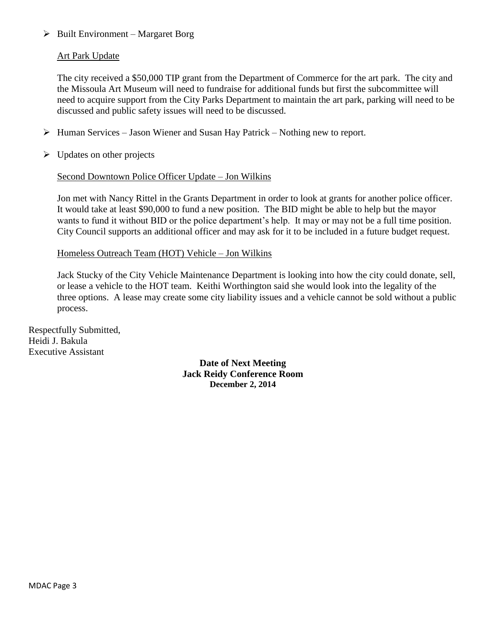### $\triangleright$  Built Environment – Margaret Borg

### Art Park Update

The city received a \$50,000 TIP grant from the Department of Commerce for the art park. The city and the Missoula Art Museum will need to fundraise for additional funds but first the subcommittee will need to acquire support from the City Parks Department to maintain the art park, parking will need to be discussed and public safety issues will need to be discussed.

- $\triangleright$  Human Services Jason Wiener and Susan Hay Patrick Nothing new to report.
- $\triangleright$  Updates on other projects

#### Second Downtown Police Officer Update – Jon Wilkins

Jon met with Nancy Rittel in the Grants Department in order to look at grants for another police officer. It would take at least \$90,000 to fund a new position. The BID might be able to help but the mayor wants to fund it without BID or the police department's help. It may or may not be a full time position. City Council supports an additional officer and may ask for it to be included in a future budget request.

#### Homeless Outreach Team (HOT) Vehicle – Jon Wilkins

Jack Stucky of the City Vehicle Maintenance Department is looking into how the city could donate, sell, or lease a vehicle to the HOT team. Keithi Worthington said she would look into the legality of the three options. A lease may create some city liability issues and a vehicle cannot be sold without a public process.

Respectfully Submitted, Heidi J. Bakula Executive Assistant

> **Date of Next Meeting Jack Reidy Conference Room December 2, 2014**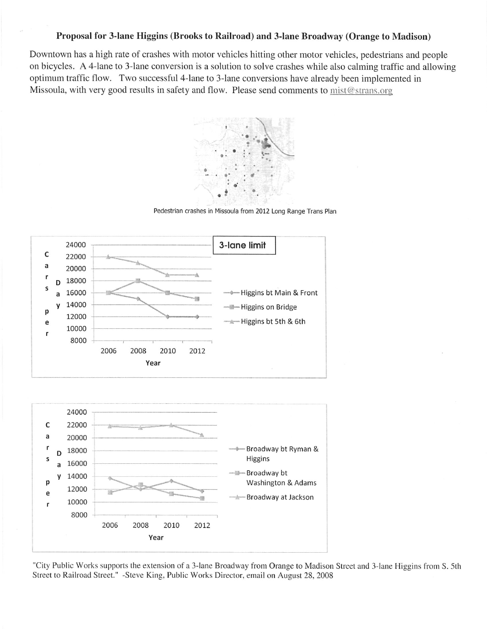#### Proposal for 3-lane Higgins (Brooks to Railroad) and 3-lane Broadway (Orange to Madison)

Downtown has a high rate of crashes with motor vehicles hitting other motor vehicles, pedestrians and people on bicycles. A 4-lane to 3-lane conversion is a solution to solve crashes while also calming traffic and allowing optimum traffic flow. Two successful 4-lane to 3-lane conversions have already been implemented in Missoula, with very good results in safety and flow. Please send comments to mist@strans.org



Pedestrian crashes in Missoula from 2012 Long Range Trans Plan



"City Public Works supports the extension of a 3-lane Broadway from Orange to Madison Street and 3-lane Higgins from S. 5th Street to Railroad Street." -Steve King, Public Works Director, email on August 28, 2008